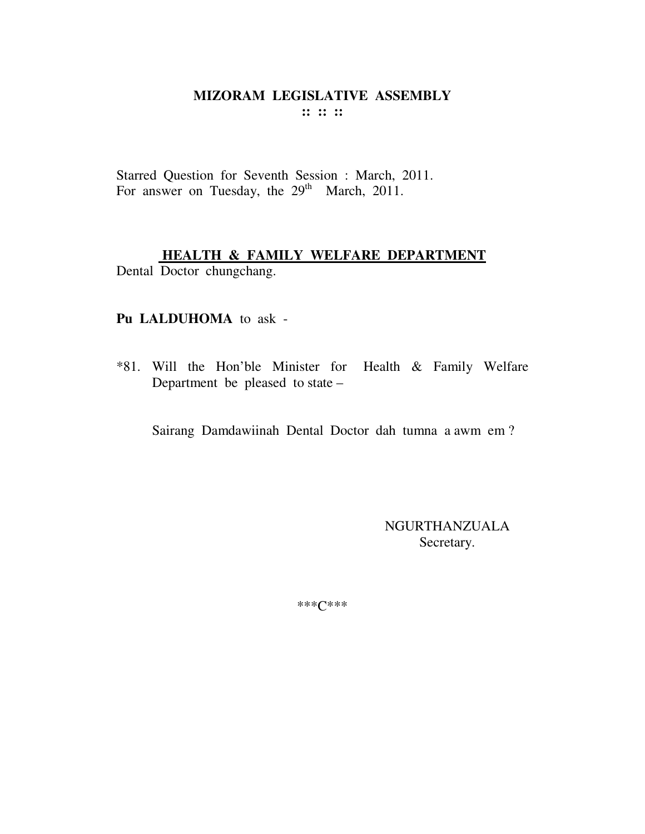Starred Question for Seventh Session : March, 2011. For answer on Tuesday, the 29<sup>th</sup> March, 2011.

# **HEALTH & FAMILY WELFARE DEPARTMENT**

Dental Doctor chungchang.

## Pu LALDUHOMA to ask -

\*81. Will the Hon'ble Minister for Health & Family Welfare Department be pleased to state -

Sairang Damdawiinah Dental Doctor dah tumna a awm em?

NGURTHANZUALA Secretary.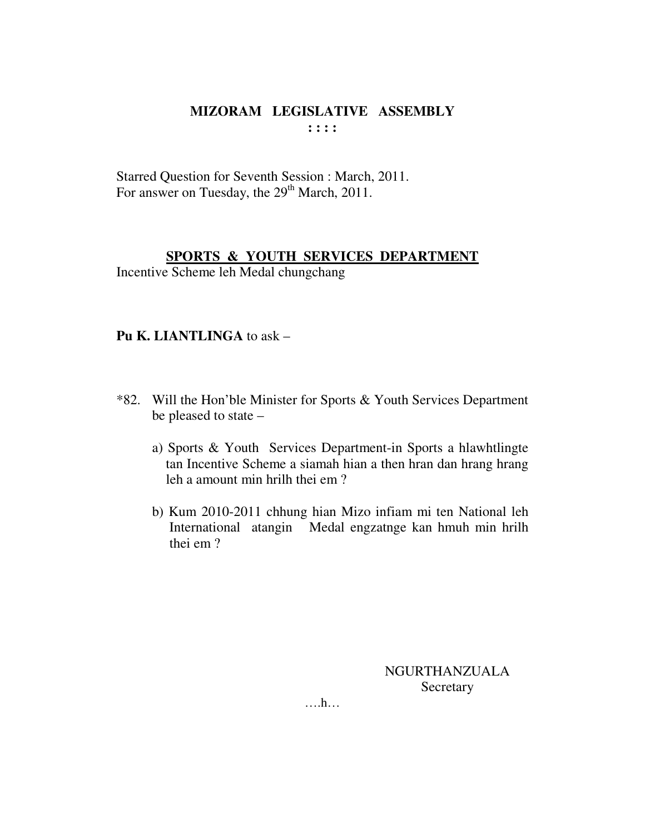Starred Question for Seventh Session : March, 2011. For answer on Tuesday, the 29<sup>th</sup> March, 2011.

## SPORTS & YOUTH SERVICES DEPARTMENT

Incentive Scheme leh Medal chungchang

### **Pu K. LIANTLINGA to ask -**

- \*82. Will the Hon'ble Minister for Sports & Youth Services Department be pleased to state  $$ 
	- a) Sports & Youth Services Department-in Sports a hlawhtlingte tan Incentive Scheme a siamah hian a then hran dan hrang hrang leh a amount min hrilh thei em?
	- b) Kum 2010-2011 chhung hian Mizo infiam mi ten National leh International atangin Medal engzatnge kan hmuh min hrilh thei em?

NGURTHANZUALA Secretary

 $\dots h\dots$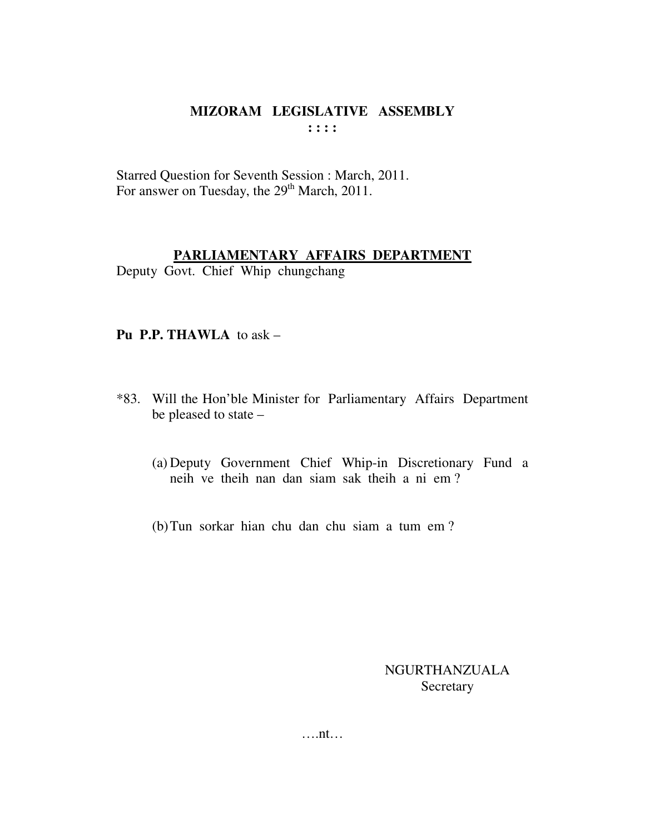Starred Question for Seventh Session : March, 2011. For answer on Tuesday, the 29<sup>th</sup> March, 2011.

### **PARLIAMENTARY AFFAIRS DEPARTMENT**

Deputy Govt. Chief Whip chungchang

### **Pu P.P. THAWLA** to ask –

- \*83. Will the Hon'ble Minister for Parliamentary Affairs Department be pleased to state –
	- (a) Deputy Government Chief Whip-in Discretionary Fund a neih ve theih nan dan siam sak theih a ni em ?
	- (b)Tun sorkar hian chu dan chu siam a tum em ?

NGURTHANZUALA **Secretary** 

….nt…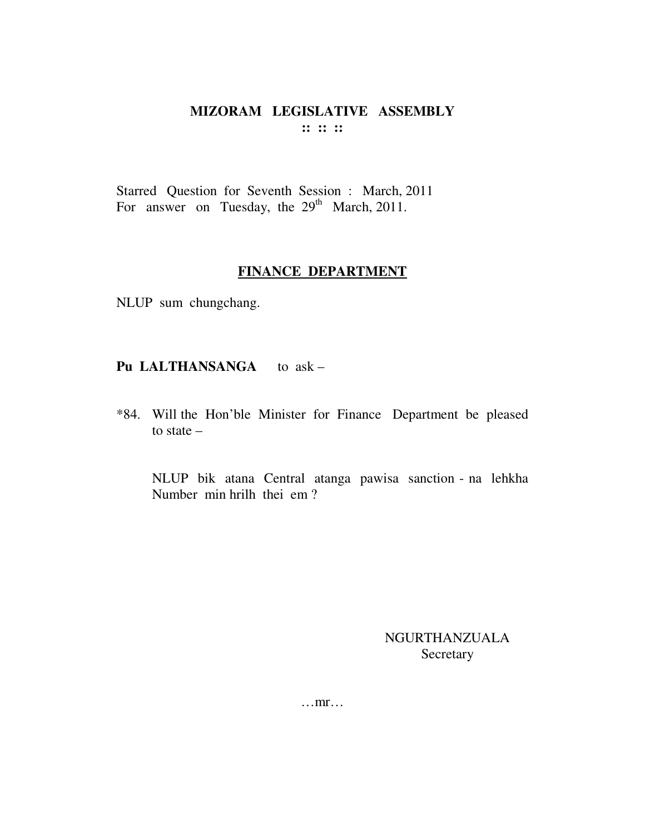# MIZORAM LEGISLATIVE ASSEMBLY  $\mathbb{R}^n \times \mathbb{R}^n$

Starred Question for Seventh Session : March, 2011 For answer on Tuesday, the  $29<sup>th</sup>$  March, 2011.

### **FINANCE DEPARTMENT**

NLUP sum chungchang.

# Pu LALTHANSANGA to ask -

\*84. Will the Hon'ble Minister for Finance Department be pleased to state  $-$ 

NLUP bik atana Central atanga pawisa sanction - na lehkha Number min hrilh thei em?

> **NGURTHANZUALA** Secretary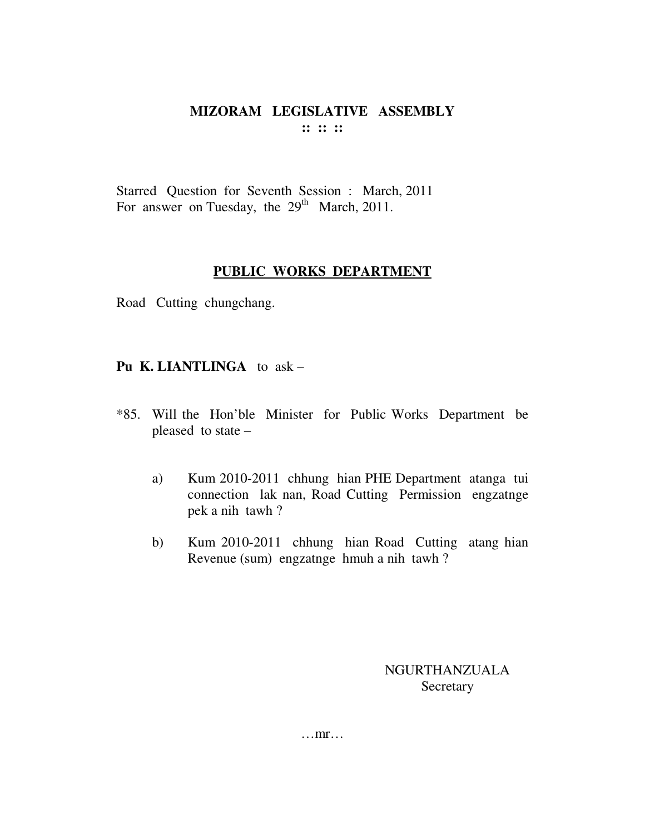Starred Question for Seventh Session : March, 2011 For answer on Tuesday, the  $29<sup>th</sup>$  March, 2011.

### **PUBLIC WORKS DEPARTMENT**

Road Cutting chungchang.

## **Pu K. LIANTLINGA** to ask –

- \*85. Will the Hon'ble Minister for Public Works Department be pleased to state –
	- a) Kum 2010-2011 chhung hian PHE Department atanga tui connection lak nan, Road Cutting Permission engzatnge pek a nih tawh ?
	- b) Kum 2010-2011 chhung hian Road Cutting atang hian Revenue (sum) engzatnge hmuh a nih tawh ?

NGURTHANZUALA **Secretary** 

…mr…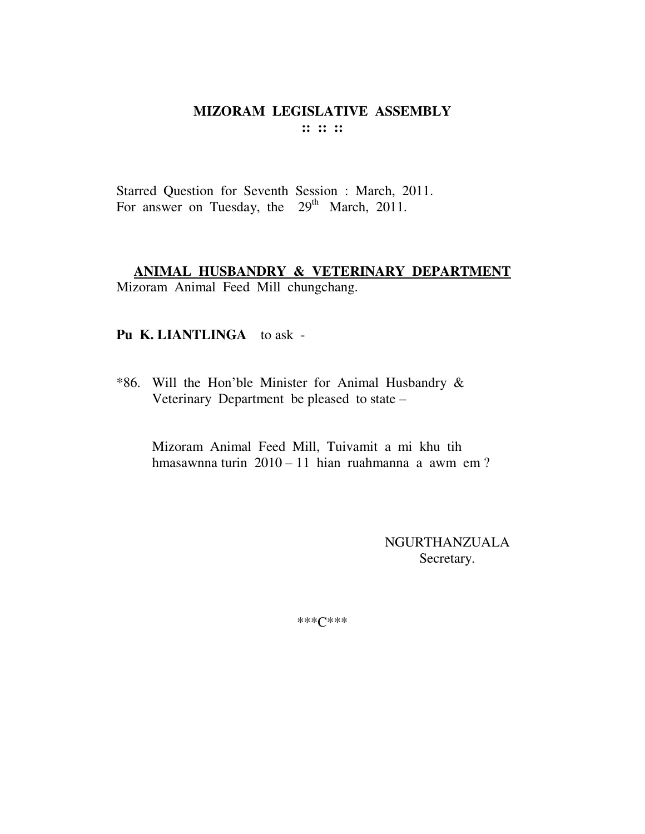Starred Question for Seventh Session : March, 2011. For answer on Tuesday, the 29<sup>th</sup> March, 2011.

# ANIMAL HUSBANDRY & VETERINARY DEPARTMENT

Mizoram Animal Feed Mill chungchang.

## Pu K. LIANTLINGA to ask -

\*86. Will the Hon'ble Minister for Animal Husbandry & Veterinary Department be pleased to state -

Mizoram Animal Feed Mill, Tuivamit a mi khu tih hmasawnna turin 2010 – 11 hian ruahmanna a awm em?

> **NGURTHANZUALA** Secretary.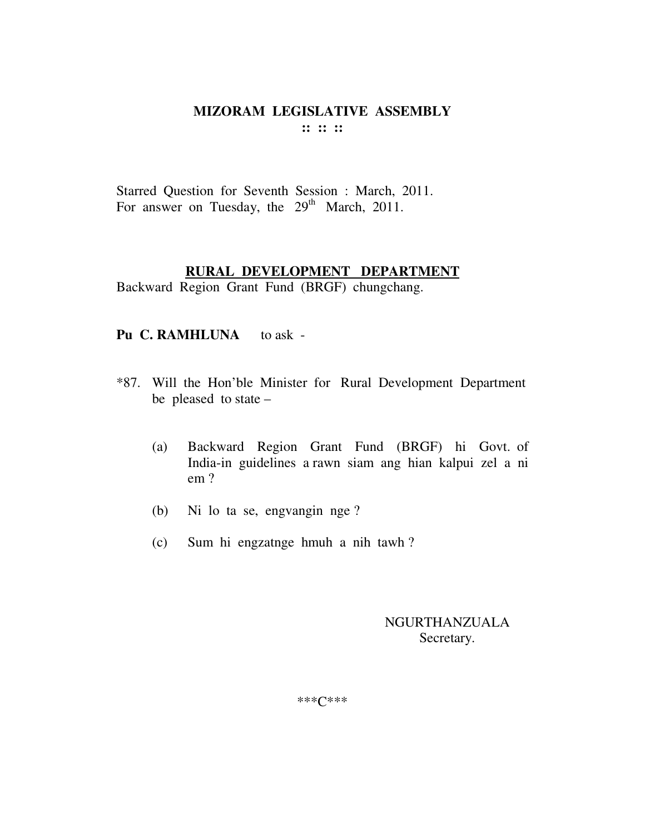Starred Question for Seventh Session : March, 2011. For answer on Tuesday, the 29<sup>th</sup> March, 2011.

## **RURAL DEVELOPMENT DEPARTMENT**

Backward Region Grant Fund (BRGF) chungchang.

## Pu C. RAMHLUNA to ask -

- \*87. Will the Hon'ble Minister for Rural Development Department be pleased to state –
	- (a) Backward Region Grant Fund (BRGF) hi Govt. of India-in guidelines a rawn siam ang hian kalpui zel a ni em ?
	- (b) Ni lo ta se, engvangin nge ?
	- (c) Sum hi engzatnge hmuh a nih tawh ?

NGURTHANZUALA Secretary.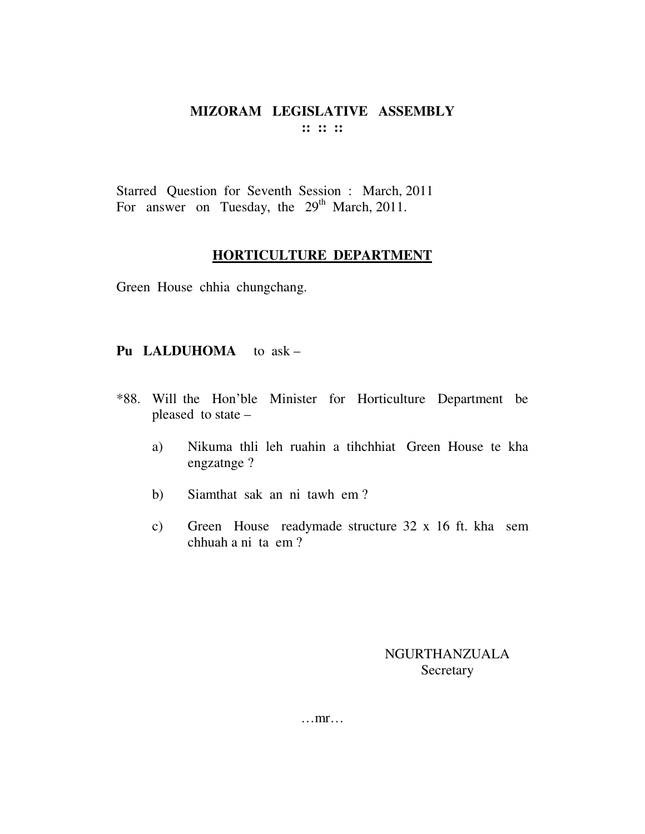Starred Question for Seventh Session : March, 2011 For answer on Tuesday, the  $29<sup>th</sup>$  March, 2011.

#### HORTICULTURE DEPARTMENT

Green House chhia chungchang.

## Pu LALDUHOMA to ask -

- \*88. Will the Hon'ble Minister for Horticulture Department be pleased to state -
	- Nikuma thli leh ruahin a tihchhiat Green House te kha a) engzatnge?
	- $b)$ Siamthat sak an ni tawh em?
	- Green House readymade structure 32 x 16 ft. kha sem  $c)$ chhuah a ni ta em?

### NGURTHANZUALA Secretary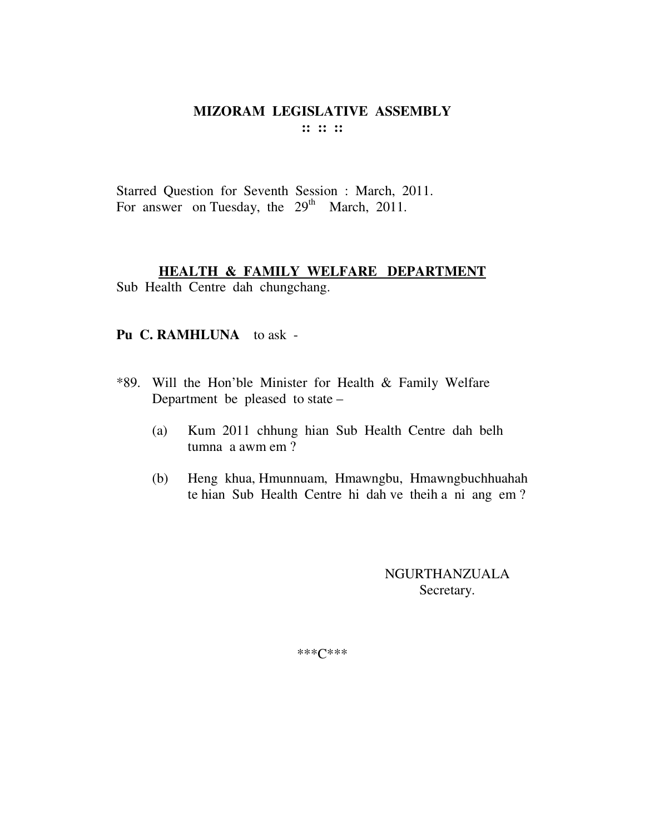Starred Question for Seventh Session : March, 2011. For answer on Tuesday, the  $29<sup>th</sup>$  March, 2011.

### **HEALTH & FAMILY WELFARE DEPARTMENT**

Sub Health Centre dah chungchang.

### **Pu C. RAMHLUNA** to ask -

- \*89. Will the Hon'ble Minister for Health & Family Welfare Department be pleased to state –
	- (a) Kum 2011 chhung hian Sub Health Centre dah belh tumna a awm em ?
	- (b) Heng khua, Hmunnuam, Hmawngbu, Hmawngbuchhuahah te hian Sub Health Centre hi dah ve theih a ni ang em ?

NGURTHANZUALA Secretary.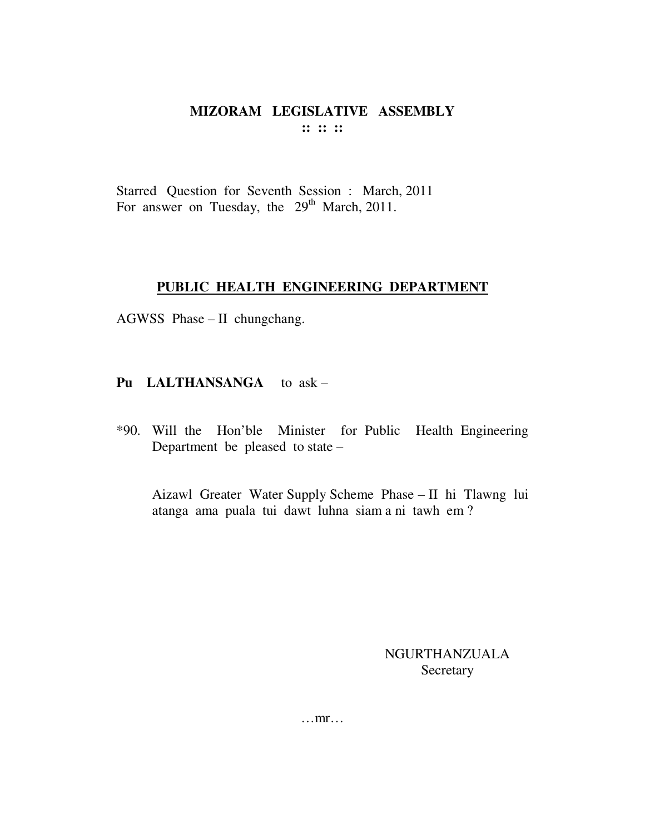## MIZORAM LEGISLATIVE ASSEMBLY  $\cdots$   $\cdots$   $\cdots$

Starred Question for Seventh Session : March, 2011 For answer on Tuesday, the 29<sup>th</sup> March, 2011.

#### PUBLIC HEALTH ENGINEERING DEPARTMENT

AGWSS Phase - II chungchang.

# Pu LALTHANSANGA to ask -

\*90. Will the Hon'ble Minister for Public Health Engineering Department be pleased to state –

Aizawl Greater Water Supply Scheme Phase - II hi Tlawng lui atanga ama puala tui dawt luhna siam a ni tawh em?

> NGURTHANZUALA Secretary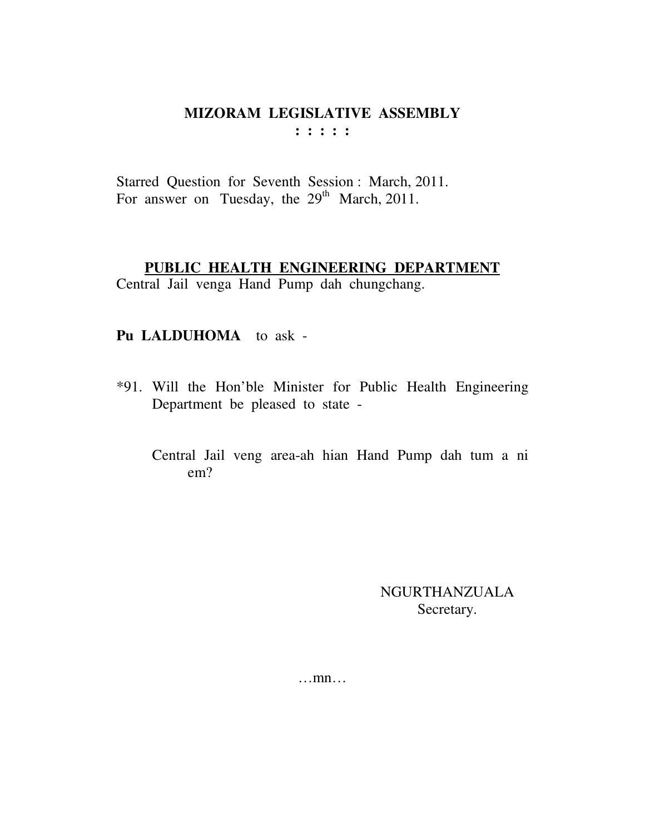Starred Question for Seventh Session : March, 2011. For answer on Tuesday, the  $29<sup>th</sup>$  March, 2011.

## **PUBLIC HEALTH ENGINEERING DEPARTMENT**

Central Jail venga Hand Pump dah chungchang.

# **Pu LALDUHOMA** to ask -

- \*91. Will the Hon'ble Minister for Public Health Engineering Department be pleased to state -
	- Central Jail veng area-ah hian Hand Pump dah tum a ni em?

NGURTHANZUALA Secretary.

…mn…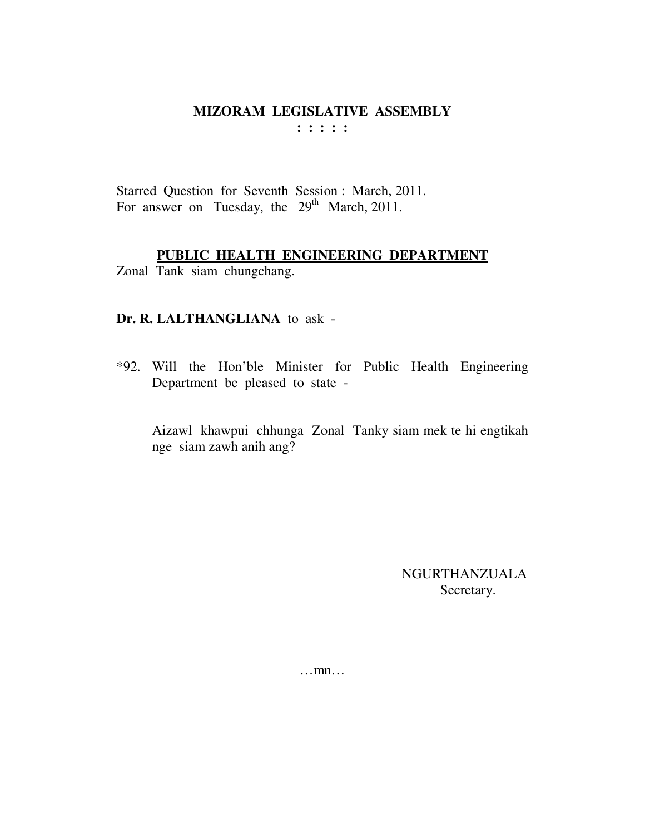Starred Question for Seventh Session : March, 2011. For answer on Tuesday, the  $29<sup>th</sup>$  March, 2011.

# **PUBLIC HEALTH ENGINEERING DEPARTMENT**

Zonal Tank siam chungchang.

### **Dr. R. LALTHANGLIANA** to ask -

\*92. Will the Hon'ble Minister for Public Health Engineering Department be pleased to state -

Aizawl khawpui chhunga Zonal Tanky siam mek te hi engtikah nge siam zawh anih ang?

> NGURTHANZUALA Secretary.

…mn…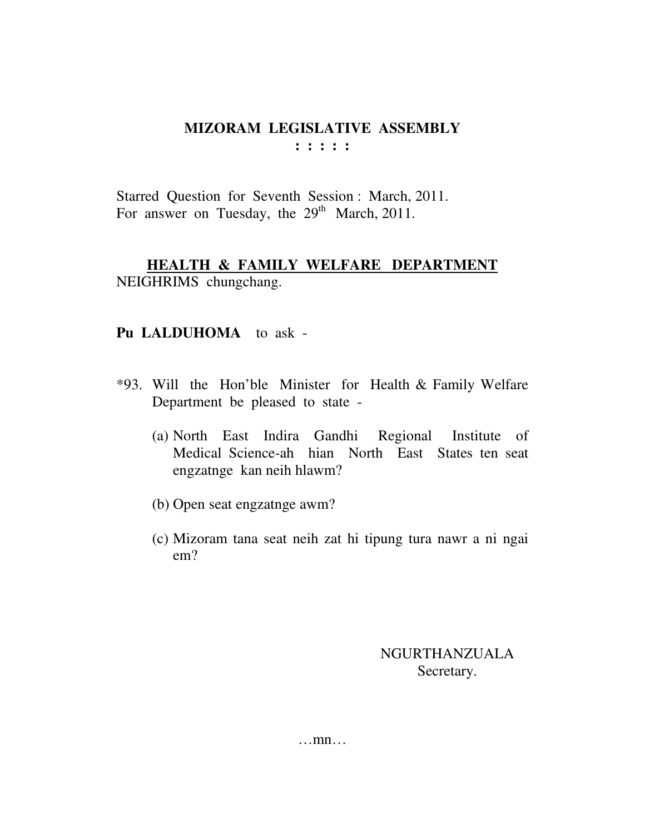Starred Question for Seventh Session : March, 2011. For answer on Tuesday, the  $29<sup>th</sup>$  March, 2011.

# **HEALTH & FAMILY WELFARE DEPARTMENT** NEIGHRIMS chungchang.

# **Pu LALDUHOMA** to ask -

- \*93. Will the Hon'ble Minister for Health & Family Welfare Department be pleased to state -
	- (a) North East Indira Gandhi Regional Institute of Medical Science-ah hian North East States ten seat engzatnge kan neih hlawm?
	- (b) Open seat engzatnge awm?
	- (c) Mizoram tana seat neih zat hi tipung tura nawr a ni ngai em?

NGURTHANZUALA Secretary.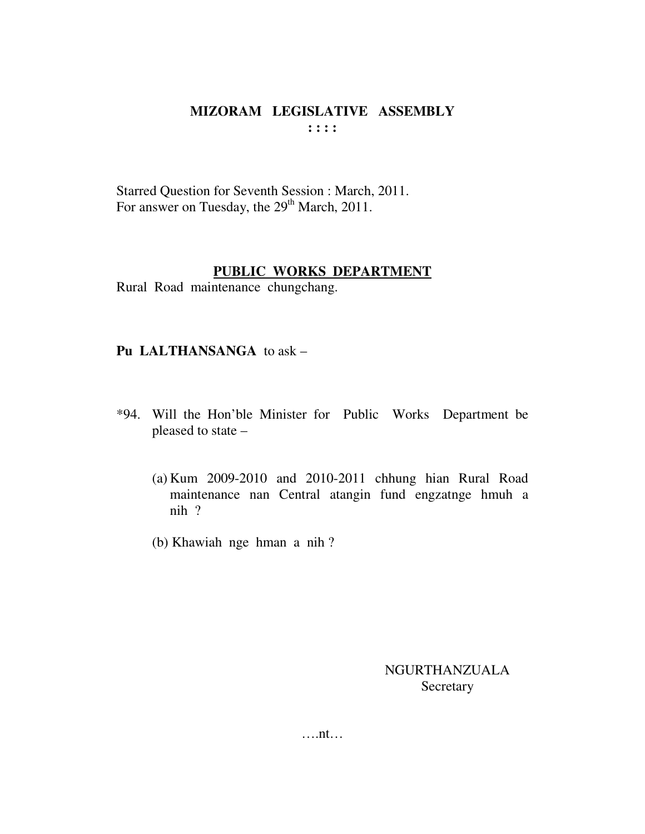Starred Question for Seventh Session : March, 2011. For answer on Tuesday, the 29<sup>th</sup> March, 2011.

### **PUBLIC WORKS DEPARTMENT**

Rural Road maintenance chungchang.

## **Pu LALTHANSANGA** to ask –

- \*94. Will the Hon'ble Minister for Public Works Department be pleased to state –
	- (a) Kum 2009-2010 and 2010-2011 chhung hian Rural Road maintenance nan Central atangin fund engzatnge hmuh a nih ?
	- (b) Khawiah nge hman a nih ?

NGURTHANZUALA **Secretary** 

….nt…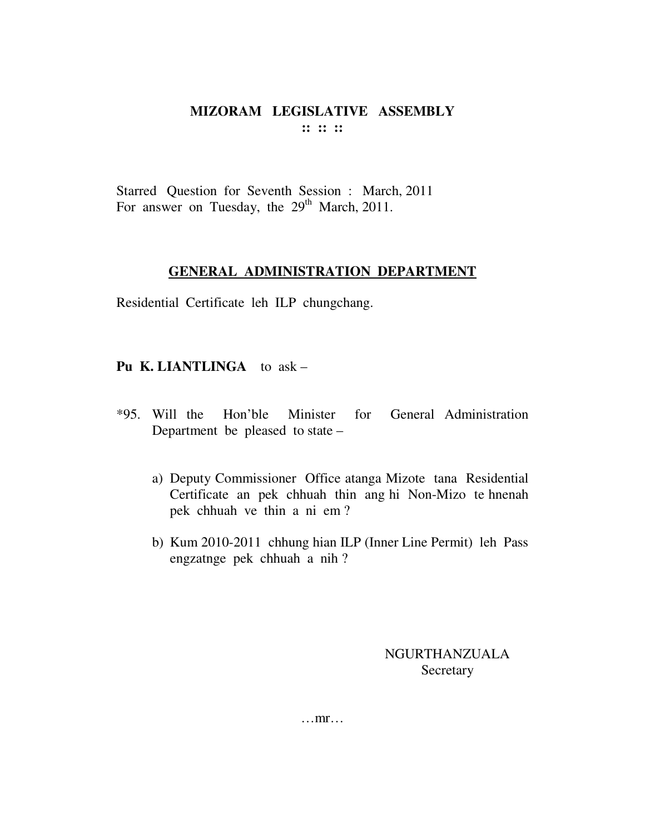# MIZORAM LEGISLATIVE ASSEMBLY  $\cdots$   $\cdots$   $\cdots$

Starred Question for Seventh Session : March, 2011 For answer on Tuesday, the 29<sup>th</sup> March, 2011.

### **GENERAL ADMINISTRATION DEPARTMENT**

Residential Certificate leh ILP chungchang.

## **Pu K. LIANTLINGA** to  $ask -$

- for General Administration  $*95$ . Will the Hon'ble Minister Department be pleased to state –
	- a) Deputy Commissioner Office atanga Mizote tana Residential Certificate an pek chhuah thin ang hi Non-Mizo te hnenah pek chhuah ve thin a ni em?
	- b) Kum 2010-2011 chhung hian ILP (Inner Line Permit) leh Pass engzatnge pek chhuah a nih?

NGURTHANZUALA Secretary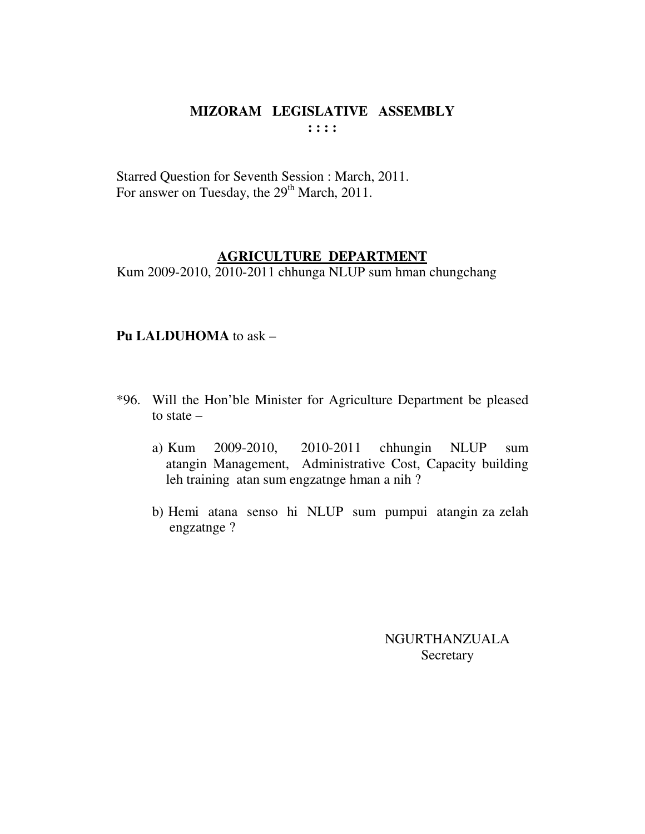Starred Question for Seventh Session : March, 2011. For answer on Tuesday, the  $29<sup>th</sup>$  March, 2011.

### **AGRICULTURE DEPARTMENT**

Kum 2009-2010, 2010-2011 chhunga NLUP sum hman chungchang

#### **Pu LALDUHOMA** to ask –

- \*96. Will the Hon'ble Minister for Agriculture Department be pleased to state –
	- a) Kum 2009-2010, 2010-2011 chhungin NLUP sum atangin Management, Administrative Cost, Capacity building leh training atan sum engzatnge hman a nih ?
	- b) Hemi atana senso hi NLUP sum pumpui atangin za zelah engzatnge ?

NGURTHANZUALA Secretary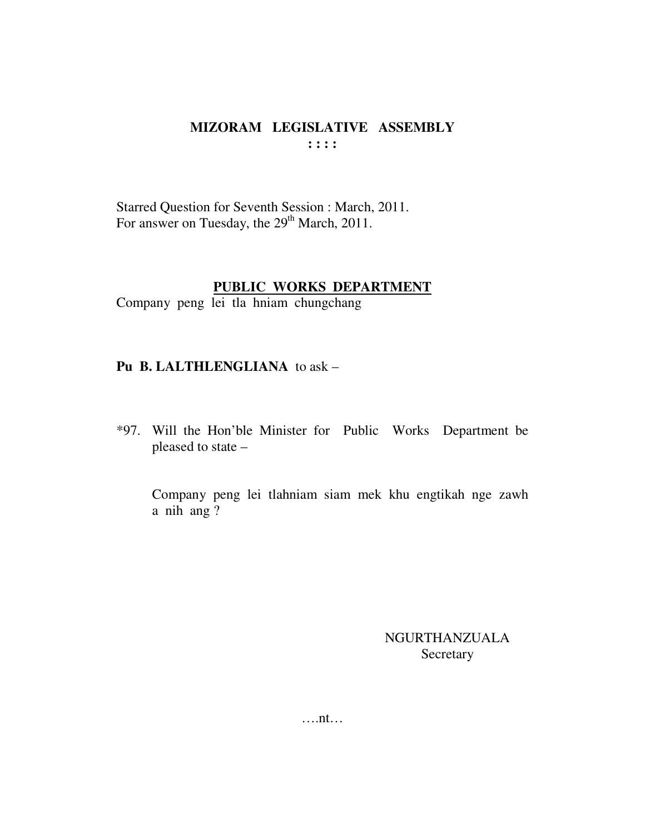Starred Question for Seventh Session : March, 2011. For answer on Tuesday, the 29<sup>th</sup> March, 2011.

## **PUBLIC WORKS DEPARTMENT**

Company peng lei tla hniam chungchang

# **Pu B. LALTHLENGLIANA** to ask –

\*97. Will the Hon'ble Minister for Public Works Department be pleased to state –

 Company peng lei tlahniam siam mek khu engtikah nge zawh a nih ang ?

> NGURTHANZUALA Secretary

….nt…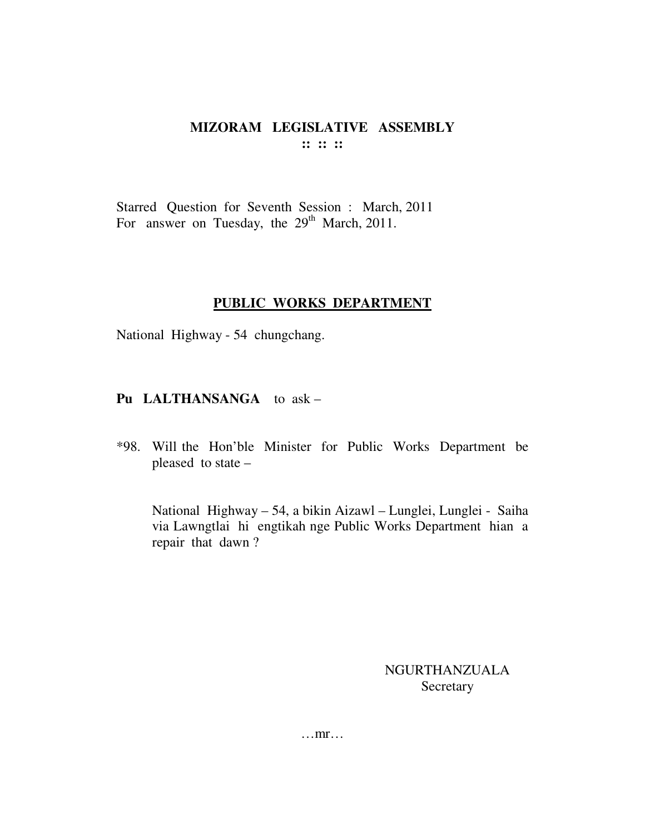### MIZORAM LEGISLATIVE ASSEMBLY  $\mathbf{::} \mathbf{::} \mathbf{::}$

Starred Question for Seventh Session : March, 2011 For answer on Tuesday, the 29<sup>th</sup> March, 2011.

## PUBLIC WORKS DEPARTMENT

National Highway - 54 chungchang.

### Pu LALTHANSANGA to ask -

\*98. Will the Hon'ble Minister for Public Works Department be pleased to state -

National Highway - 54, a bikin Aizawl - Lunglei, Lunglei - Saiha via Lawngtlai hi engtikah nge Public Works Department hian a repair that dawn?

> **NGURTHANZUALA** Secretary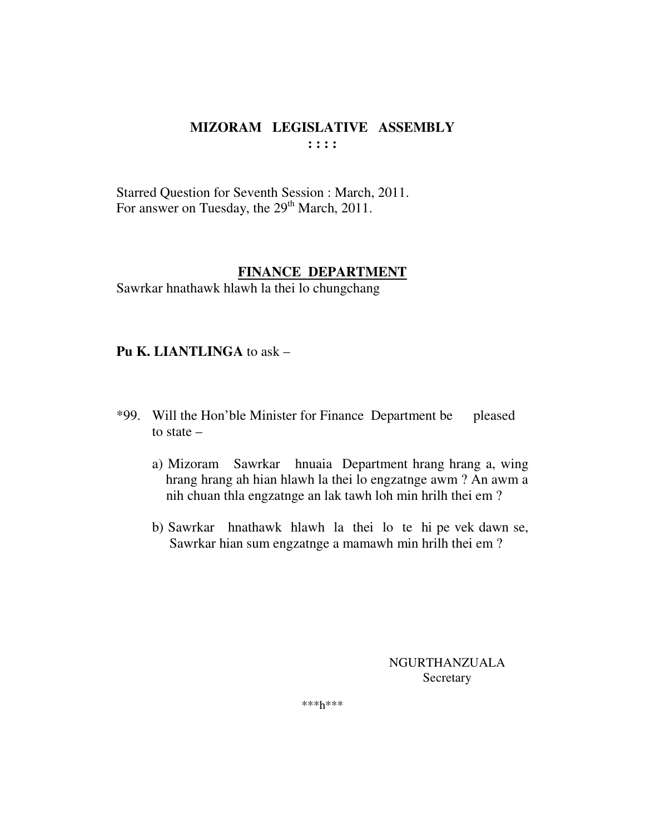Starred Question for Seventh Session : March, 2011. For answer on Tuesday, the 29<sup>th</sup> March, 2011.

## **FINANCE DEPARTMENT**

Sawrkar hnathawk hlawh la thei lo chungchang

### **Pu K. LIANTLINGA** to ask –

- \*99. Will the Hon'ble Minister for Finance Department be pleased to state –
	- a) Mizoram Sawrkar hnuaia Department hrang hrang a, wing hrang hrang ah hian hlawh la thei lo engzatnge awm ? An awm a nih chuan thla engzatnge an lak tawh loh min hrilh thei em ?
	- b) Sawrkar hnathawk hlawh la thei lo te hi pe vek dawn se, Sawrkar hian sum engzatnge a mamawh min hrilh thei em ?

NGURTHANZUALA Secretary

\*\*\*h\*\*\*